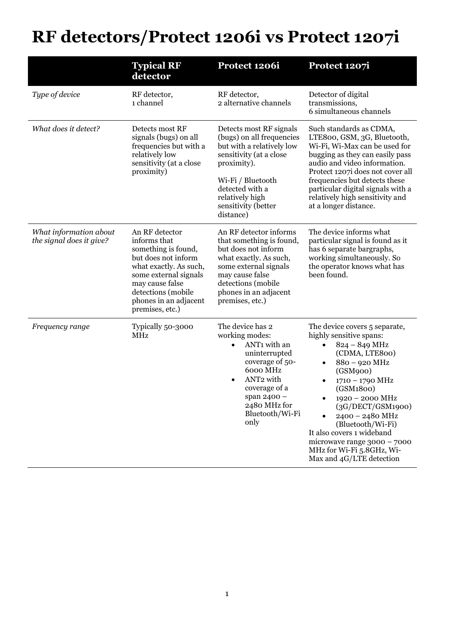## **RF detectors/Protect 1206i vs Protect 1207i**

|                                                    | <b>Typical RF</b><br>detector                                                                                                                                                                                        | Protect 1206i                                                                                                                                                                                                                    | Protect 1207i                                                                                                                                                                                                                                                                                                                                                                |
|----------------------------------------------------|----------------------------------------------------------------------------------------------------------------------------------------------------------------------------------------------------------------------|----------------------------------------------------------------------------------------------------------------------------------------------------------------------------------------------------------------------------------|------------------------------------------------------------------------------------------------------------------------------------------------------------------------------------------------------------------------------------------------------------------------------------------------------------------------------------------------------------------------------|
| Type of device                                     | RF detector,<br>1 channel                                                                                                                                                                                            | RF detector,<br>2 alternative channels                                                                                                                                                                                           | Detector of digital<br>transmissions,<br>6 simultaneous channels                                                                                                                                                                                                                                                                                                             |
| What does it detect?                               | Detects most RF<br>signals (bugs) on all<br>frequencies but with a<br>relatively low<br>sensitivity (at a close<br>proximity)                                                                                        | Detects most RF signals<br>(bugs) on all frequencies<br>but with a relatively low<br>sensitivity (at a close<br>proximity).<br>Wi-Fi / Bluetooth<br>detected with a<br>relatively high<br>sensitivity (better<br>distance)       | Such standards as CDMA,<br>LTE800, GSM, 3G, Bluetooth,<br>Wi-Fi, Wi-Max can be used for<br>bugging as they can easily pass<br>audio and video information.<br>Protect 1207i does not cover all<br>frequencies but detects these<br>particular digital signals with a<br>relatively high sensitivity and<br>at a longer distance.                                             |
| What information about<br>the signal does it give? | An RF detector<br>informs that<br>something is found,<br>but does not inform<br>what exactly. As such,<br>some external signals<br>may cause false<br>detections (mobile<br>phones in an adjacent<br>premises, etc.) | An RF detector informs<br>that something is found,<br>but does not inform<br>what exactly. As such,<br>some external signals<br>may cause false<br>detections (mobile<br>phones in an adjacent<br>premises, etc.)                | The device informs what<br>particular signal is found as it<br>has 6 separate bargraphs,<br>working simultaneously. So<br>the operator knows what has<br>been found.                                                                                                                                                                                                         |
| Frequency range                                    | Typically 50-3000<br><b>MHz</b>                                                                                                                                                                                      | The device has 2<br>working modes:<br>ANT1 with an<br>$\bullet$<br>uninterrupted<br>coverage of 50-<br>6000 MHz<br>ANT <sub>2</sub> with<br>$\bullet$<br>coverage of a<br>span 2400 -<br>2480 MHz for<br>Bluetooth/Wi-Fi<br>only | The device covers 5 separate,<br>highly sensitive spans:<br>$824 - 849$ MHz<br>(CDMA, LTE800)<br>880 - 920 MHz<br>$\bullet$<br>(GSM900)<br>1710 - 1790 MHz<br>(GSM1800)<br>1920 - 2000 MHz<br>(3G/DECT/GSM1900)<br>2400 - 2480 MHz<br>(Bluetooth/Wi-Fi)<br>It also covers 1 wideband<br>microwave range 3000 - 7000<br>MHz for Wi-Fi 5.8GHz, Wi-<br>Max and 4G/LTE detection |